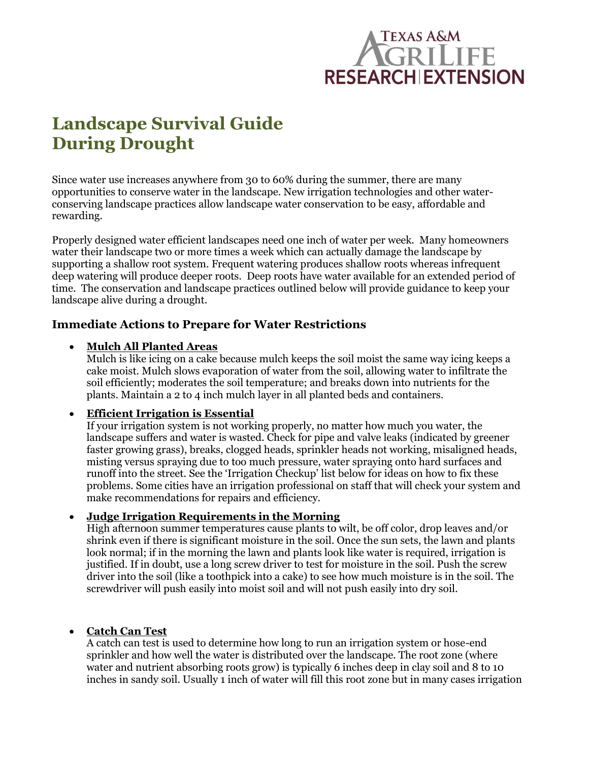# Texas A&M **RESEARCHIEXTENSION**

# **Landscape Survival Guide During Drought**

Since water use increases anywhere from 30 to 60% during the summer, there are many opportunities to conserve water in the landscape. New irrigation technologies and other waterconserving landscape practices allow landscape water conservation to be easy, affordable and rewarding.

Properly designed water efficient landscapes need one inch of water per week. Many homeowners water their landscape two or more times a week which can actually damage the landscape by supporting a shallow root system. Frequent watering produces shallow roots whereas infrequent deep watering will produce deeper roots. Deep roots have water available for an extended period of time. The conservation and landscape practices outlined below will provide guidance to keep your landscape alive during a drought.

# **Immediate Actions to Prepare for Water Restrictions**

# **Mulch All Planted Areas**

Mulch is like icing on a cake because mulch keeps the soil moist the same way icing keeps a cake moist. Mulch slows evaporation of water from the soil, allowing water to infiltrate the soil efficiently; moderates the soil temperature; and breaks down into nutrients for the plants. Maintain a 2 to 4 inch mulch layer in all planted beds and containers.

# **Efficient Irrigation is Essential**

If your irrigation system is not working properly, no matter how much you water, the landscape suffers and water is wasted. Check for pipe and valve leaks (indicated by greener faster growing grass), breaks, clogged heads, sprinkler heads not working, misaligned heads, misting versus spraying due to too much pressure, water spraying onto hard surfaces and runoff into the street. See the 'Irrigation Checkup' list below for ideas on how to fix these problems. Some cities have an irrigation professional on staff that will check your system and make recommendations for repairs and efficiency.

# **Judge Irrigation Requirements in the Morning**

High afternoon summer temperatures cause plants to wilt, be off color, drop leaves and/or shrink even if there is significant moisture in the soil. Once the sun sets, the lawn and plants look normal; if in the morning the lawn and plants look like water is required, irrigation is justified. If in doubt, use a long screw driver to test for moisture in the soil. Push the screw driver into the soil (like a toothpick into a cake) to see how much moisture is in the soil. The screwdriver will push easily into moist soil and will not push easily into dry soil.

# **Catch Can Test**

A catch can test is used to determine how long to run an irrigation system or hose-end sprinkler and how well the water is distributed over the landscape. The root zone (where water and nutrient absorbing roots grow) is typically 6 inches deep in clay soil and 8 to 10 inches in sandy soil. Usually 1 inch of water will fill this root zone but in many cases irrigation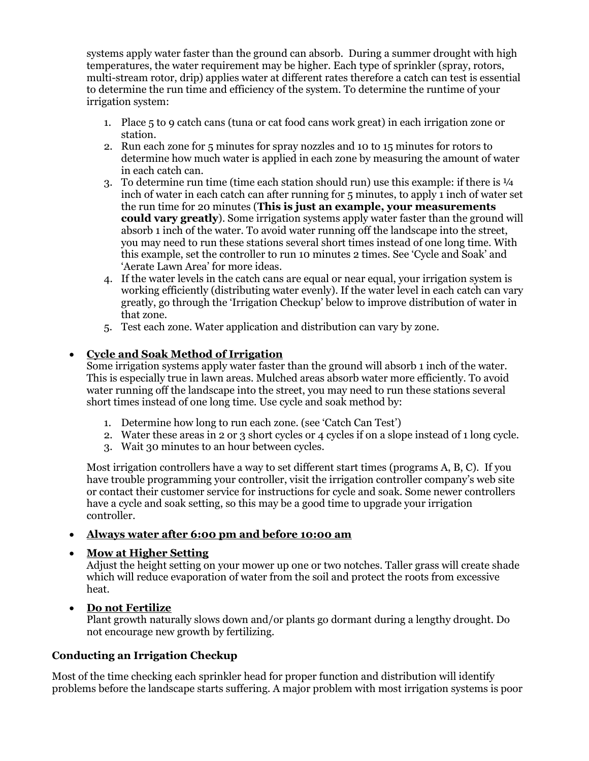systems apply water faster than the ground can absorb. During a summer drought with high temperatures, the water requirement may be higher. Each type of sprinkler (spray, rotors, multi-stream rotor, drip) applies water at different rates therefore a catch can test is essential to determine the run time and efficiency of the system. To determine the runtime of your irrigation system:

- 1. Place 5 to 9 catch cans (tuna or cat food cans work great) in each irrigation zone or station.
- 2. Run each zone for 5 minutes for spray nozzles and 10 to 15 minutes for rotors to determine how much water is applied in each zone by measuring the amount of water in each catch can.
- 3. To determine run time (time each station should run) use this example: if there is  $\frac{1}{4}$ inch of water in each catch can after running for 5 minutes, to apply 1 inch of water set the run time for 20 minutes (**This is just an example, your measurements could vary greatly**). Some irrigation systems apply water faster than the ground will absorb 1 inch of the water. To avoid water running off the landscape into the street, you may need to run these stations several short times instead of one long time. With this example, set the controller to run 10 minutes 2 times. See 'Cycle and Soak' and 'Aerate Lawn Area' for more ideas.
- 4. If the water levels in the catch cans are equal or near equal, your irrigation system is working efficiently (distributing water evenly). If the water level in each catch can vary greatly, go through the 'Irrigation Checkup' below to improve distribution of water in that zone.
- 5. Test each zone. Water application and distribution can vary by zone.

# **Cycle and Soak Method of Irrigation**

Some irrigation systems apply water faster than the ground will absorb 1 inch of the water. This is especially true in lawn areas. Mulched areas absorb water more efficiently. To avoid water running off the landscape into the street, you may need to run these stations several short times instead of one long time. Use cycle and soak method by:

- 1. Determine how long to run each zone. (see 'Catch Can Test')
- 2. Water these areas in 2 or 3 short cycles or 4 cycles if on a slope instead of 1 long cycle.
- 3. Wait 30 minutes to an hour between cycles.

Most irrigation controllers have a way to set different start times (programs A, B, C). If you have trouble programming your controller, visit the irrigation controller company's web site or contact their customer service for instructions for cycle and soak. Some newer controllers have a cycle and soak setting, so this may be a good time to upgrade your irrigation controller.

# **Always water after 6:00 pm and before 10:00 am**

# **Mow at Higher Setting**

Adjust the height setting on your mower up one or two notches. Taller grass will create shade which will reduce evaporation of water from the soil and protect the roots from excessive heat.

# **Do not Fertilize**

Plant growth naturally slows down and/or plants go dormant during a lengthy drought. Do not encourage new growth by fertilizing.

# **Conducting an Irrigation Checkup**

Most of the time checking each sprinkler head for proper function and distribution will identify problems before the landscape starts suffering. A major problem with most irrigation systems is poor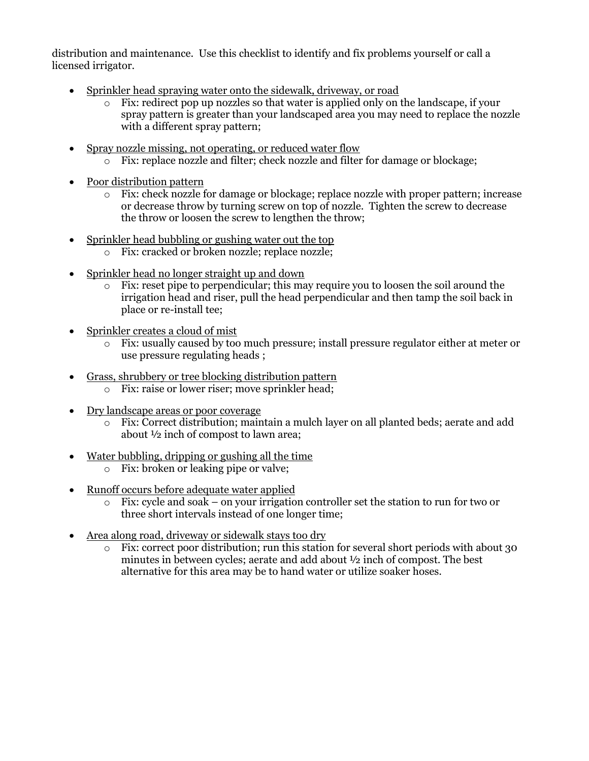distribution and maintenance. Use this checklist to identify and fix problems yourself or call a licensed irrigator.

- Sprinkler head spraying water onto the sidewalk, driveway, or road
	- $\circ$  Fix: redirect pop up nozzles so that water is applied only on the landscape, if your spray pattern is greater than your landscaped area you may need to replace the nozzle with a different spray pattern;
- Spray nozzle missing, not operating, or reduced water flow
	- o Fix: replace nozzle and filter; check nozzle and filter for damage or blockage;
- Poor distribution pattern
	- o Fix: check nozzle for damage or blockage; replace nozzle with proper pattern; increase or decrease throw by turning screw on top of nozzle. Tighten the screw to decrease the throw or loosen the screw to lengthen the throw;
- Sprinkler head bubbling or gushing water out the top
	- o Fix: cracked or broken nozzle; replace nozzle;
- Sprinkler head no longer straight up and down
	- o Fix: reset pipe to perpendicular; this may require you to loosen the soil around the irrigation head and riser, pull the head perpendicular and then tamp the soil back in place or re-install tee;
- Sprinkler creates a cloud of mist
	- o Fix: usually caused by too much pressure; install pressure regulator either at meter or use pressure regulating heads ;
- Grass, shrubbery or tree blocking distribution pattern
	- o Fix: raise or lower riser; move sprinkler head;
- Dry landscape areas or poor coverage
	- o Fix: Correct distribution; maintain a mulch layer on all planted beds; aerate and add about ½ inch of compost to lawn area;
- Water bubbling, dripping or gushing all the time
	- o Fix: broken or leaking pipe or valve;
- Runoff occurs before adequate water applied
	- $\circ$  Fix: cycle and soak on your irrigation controller set the station to run for two or three short intervals instead of one longer time;
- Area along road, driveway or sidewalk stays too dry
	- o Fix: correct poor distribution; run this station for several short periods with about 30 minutes in between cycles; aerate and add about ½ inch of compost. The best alternative for this area may be to hand water or utilize soaker hoses.